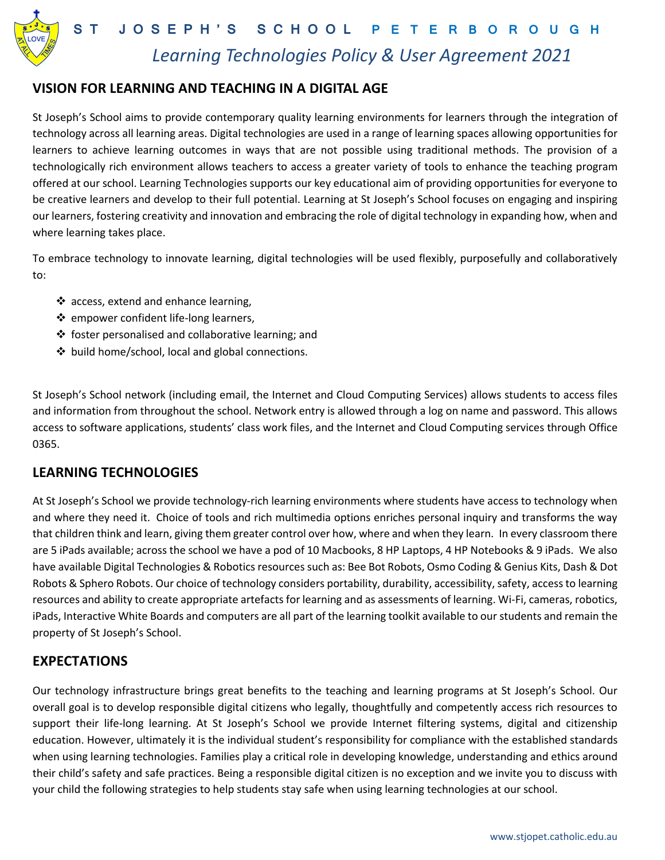

# **VISION FOR LEARNING AND TEACHING IN A DIGITAL AGE**

St Joseph's School aims to provide contemporary quality learning environments for learners through the integration of technology across all learning areas. Digital technologies are used in a range of learning spaces allowing opportunities for learners to achieve learning outcomes in ways that are not possible using traditional methods. The provision of a technologically rich environment allows teachers to access a greater variety of tools to enhance the teaching program offered at our school. Learning Technologies supports our key educational aim of providing opportunities for everyone to be creative learners and develop to their full potential. Learning at St Joseph's School focuses on engaging and inspiring our learners, fostering creativity and innovation and embracing the role of digital technology in expanding how, when and where learning takes place.

To embrace technology to innovate learning, digital technologies will be used flexibly, purposefully and collaboratively to:

- \* access, extend and enhance learning,
- ❖ empower confident life-long learners,
- $\cdot$  foster personalised and collaborative learning; and
- ❖ build home/school, local and global connections.

St Joseph's School network (including email, the Internet and Cloud Computing Services) allows students to access files and information from throughout the school. Network entry is allowed through a log on name and password. This allows access to software applications, students' class work files, and the Internet and Cloud Computing services through Office 0365.

### **LEARNING TECHNOLOGIES**

At St Joseph's School we provide technology-rich learning environments where students have access to technology when and where they need it. Choice of tools and rich multimedia options enriches personal inquiry and transforms the way that children think and learn, giving them greater control over how, where and when they learn. In every classroom there are 5 iPads available; across the school we have a pod of 10 Macbooks, 8 HP Laptops, 4 HP Notebooks & 9 iPads. We also have available Digital Technologies & Robotics resources such as: Bee Bot Robots, Osmo Coding & Genius Kits, Dash & Dot Robots & Sphero Robots. Our choice of technology considers portability, durability, accessibility, safety, access to learning resources and ability to create appropriate artefacts for learning and as assessments of learning. Wi-Fi, cameras, robotics, iPads, Interactive White Boards and computers are all part of the learning toolkit available to our students and remain the property of St Joseph's School.

### **EXPECTATIONS**

Our technology infrastructure brings great benefits to the teaching and learning programs at St Joseph's School. Our overall goal is to develop responsible digital citizens who legally, thoughtfully and competently access rich resources to support their life-long learning. At St Joseph's School we provide Internet filtering systems, digital and citizenship education. However, ultimately it is the individual student's responsibility for compliance with the established standards when using learning technologies. Families play a critical role in developing knowledge, understanding and ethics around their child's safety and safe practices. Being a responsible digital citizen is no exception and we invite you to discuss with your child the following strategies to help students stay safe when using learning technologies at our school.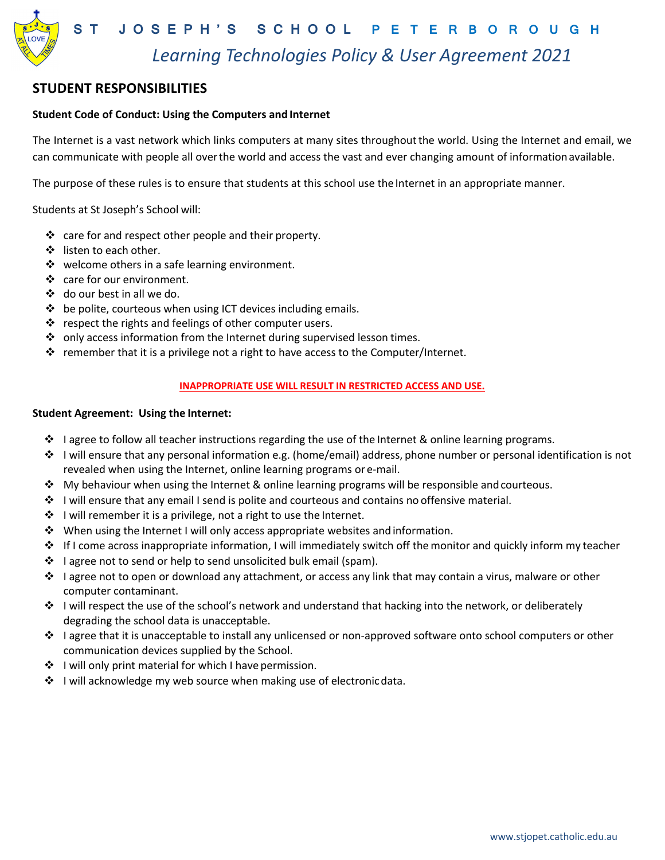

### **STUDENT RESPONSIBILITIES**

### **Student Code of Conduct: Using the Computers and Internet**

The Internet is a vast network which links computers at many sites throughoutthe world. Using the Internet and email, we can communicate with people all overthe world and access the vast and ever changing amount of informationavailable.

The purpose of these rules is to ensure that students at this school use the Internet in an appropriate manner.

Students at St Joseph's School will:

- $\cdot \cdot$  care for and respect other people and their property.
- ❖ listen to each other.
- $\cdot$  welcome others in a safe learning environment.
- ❖ care for our environment.
- $\div$  do our best in all we do.
- $\triangleleft$  be polite, courteous when using ICT devices including emails.
- $\cdot \cdot$  respect the rights and feelings of other computer users.
- $\cdot$  only access information from the Internet during supervised lesson times.
- $\div$  remember that it is a privilege not a right to have access to the Computer/Internet.

#### **INAPPROPRIATE USE WILL RESULT IN RESTRICTED ACCESS AND USE.**

#### **Student Agreement: Using the Internet:**

- $\cdot \cdot$  I agree to follow all teacher instructions regarding the use of the Internet & online learning programs.
- $\cdot \cdot$  I will ensure that any personal information e.g. (home/email) address, phone number or personal identification is not revealed when using the Internet, online learning programs or e-mail.
- $\cdot \cdot$  My behaviour when using the Internet & online learning programs will be responsible and courteous.
- $\div$  I will ensure that any email I send is polite and courteous and contains no offensive material.
- $\cdot \cdot$  I will remember it is a privilege, not a right to use the Internet.
- $\cdot \cdot$  When using the Internet I will only access appropriate websites and information.
- $\div$  If I come across inappropriate information, I will immediately switch off the monitor and quickly inform my teacher
- v I agree not to send or help to send unsolicited bulk email (spam).
- $\cdot \cdot$  I agree not to open or download any attachment, or access any link that may contain a virus, malware or other computer contaminant.
- $\cdot \cdot$  I will respect the use of the school's network and understand that hacking into the network, or deliberately degrading the school data is unacceptable.
- v I agree that it is unacceptable to install any unlicensed or non-approved software onto school computers or other communication devices supplied by the School.
- ❖ I will only print material for which I have permission.
- ◆ I will acknowledge my web source when making use of electronic data.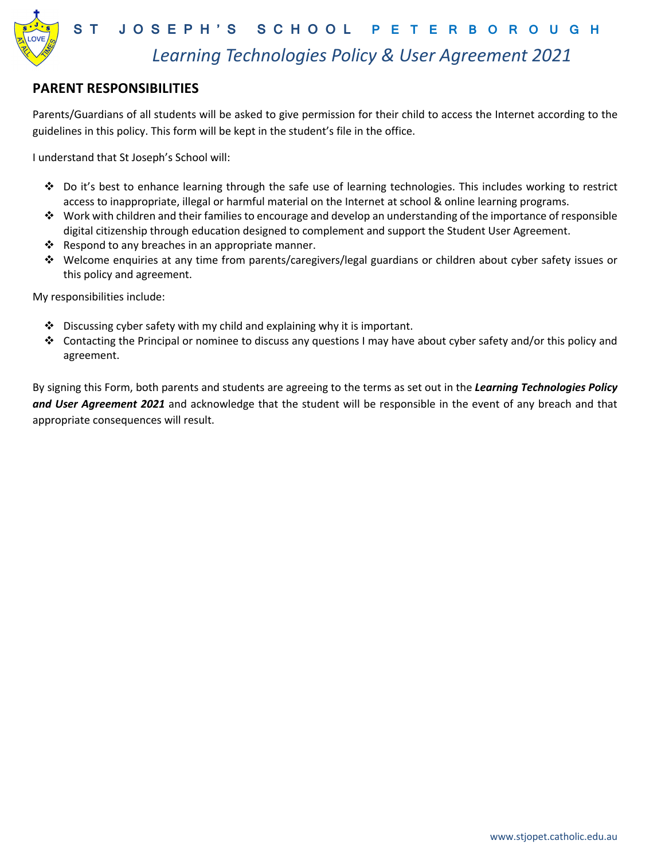

## **PARENT RESPONSIBILITIES**

Parents/Guardians of all students will be asked to give permission for their child to access the Internet according to the guidelines in this policy. This form will be kept in the student's file in the office.

I understand that St Joseph's School will:

- v Do it's best to enhance learning through the safe use of learning technologies. This includes working to restrict access to inappropriate, illegal or harmful material on the Internet at school & online learning programs.
- Work with children and their families to encourage and develop an understanding of the importance of responsible digital citizenship through education designed to complement and support the Student User Agreement.
- $\cdot \cdot$  Respond to any breaches in an appropriate manner.
- v Welcome enquiries at any time from parents/caregivers/legal guardians or children about cyber safety issues or this policy and agreement.

My responsibilities include:

- $\cdot$  Discussing cyber safety with my child and explaining why it is important.
- v Contacting the Principal or nominee to discuss any questions I may have about cyber safety and/or this policy and agreement.

By signing this Form, both parents and students are agreeing to the terms as set out in the *Learning Technologies Policy and User Agreement 2021* and acknowledge that the student will be responsible in the event of any breach and that appropriate consequences will result.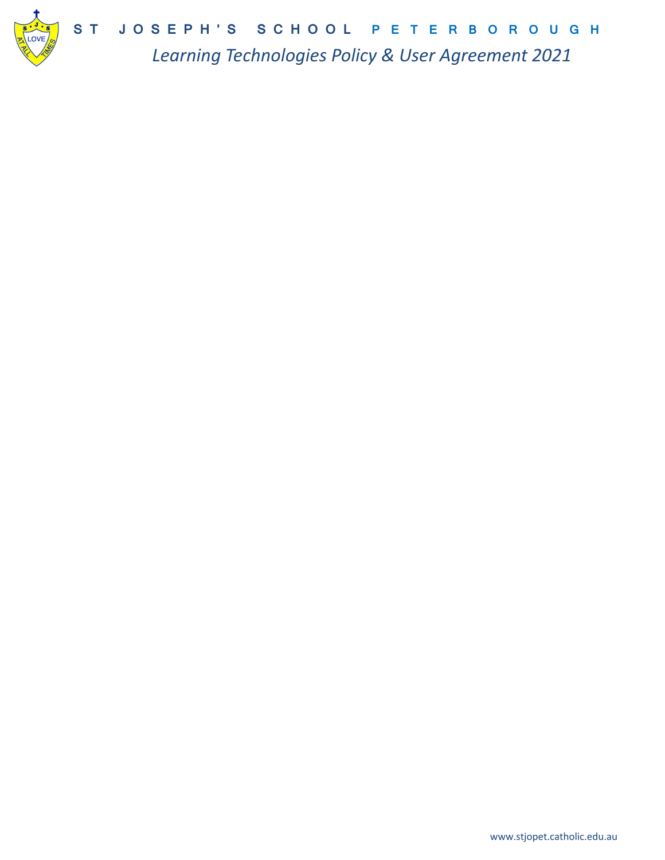

**ST JOSEPH'S SCHOOL PETERBOROUGH** *Learning Technologies Policy & User Agreement 2021*